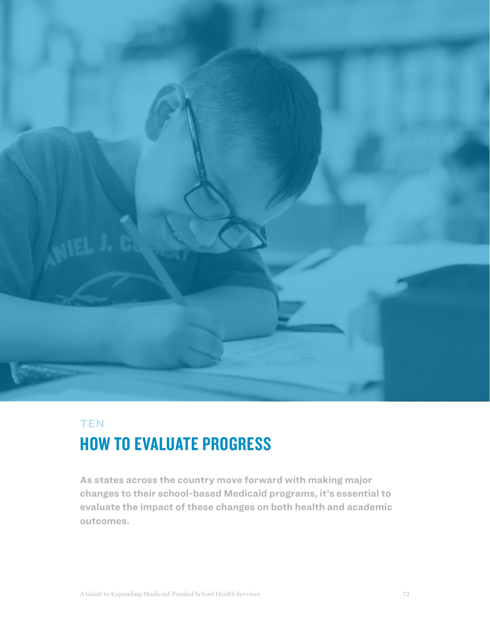

## **TEN**

# HOW TO EVALUATE PROGRESS

**As states across the country move forward with making major changes to their school-based Medicaid programs, it's essential to evaluate the impact of these changes on both health and academic outcomes.**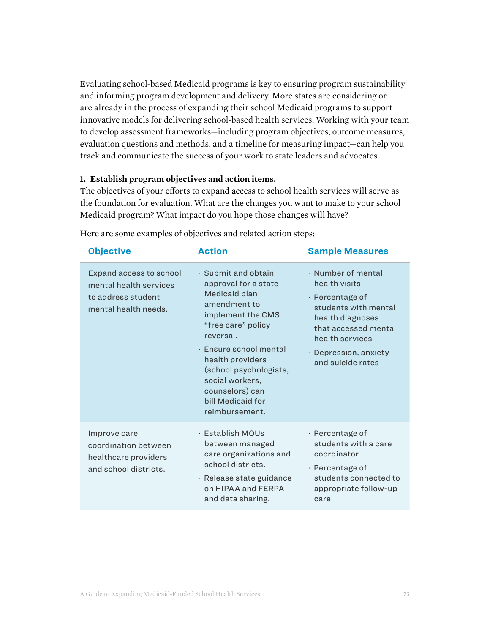Evaluating school-based Medicaid programs is key to ensuring program sustainability and informing program development and delivery. More states are considering or are already in the process of expanding their school Medicaid programs to support innovative models for delivering school-based health services. Working with your team to develop assessment frameworks—including program objectives, outcome measures, evaluation questions and methods, and a timeline for measuring impact—can help you track and communicate the success of your work to state leaders and advocates.

#### **1. Establish program objectives and action items.**

The objectives of your efforts to expand access to school health services will serve as the foundation for evaluation. What are the changes you want to make to your school Medicaid program? What impact do you hope those changes will have?

| <b>Objective</b>                                                                                       | <b>Action</b>                                                                                                                                                                                                                                                                             | <b>Sample Measures</b>                                                                                                                                                                      |
|--------------------------------------------------------------------------------------------------------|-------------------------------------------------------------------------------------------------------------------------------------------------------------------------------------------------------------------------------------------------------------------------------------------|---------------------------------------------------------------------------------------------------------------------------------------------------------------------------------------------|
| <b>Expand access to school</b><br>mental health services<br>to address student<br>mental health needs. | · Submit and obtain<br>approval for a state<br>Medicaid plan<br>amendment to<br>implement the CMS<br>"free care" policy<br>reversal.<br>· Ensure school mental<br>health providers<br>(school psychologists,<br>social workers,<br>counselors) can<br>bill Medicaid for<br>reimbursement. | · Number of mental<br>health visits<br>· Percentage of<br>students with mental<br>health diagnoses<br>that accessed mental<br>health services<br>· Depression, anxiety<br>and suicide rates |
| Improve care<br>coordination between<br>healthcare providers<br>and school districts.                  | · Establish MOUs<br>between managed<br>care organizations and<br>school districts.<br>· Release state guidance<br>on HIPAA and FERPA<br>and data sharing.                                                                                                                                 | · Percentage of<br>students with a care<br>coordinator<br>$\cdot$ Percentage of<br>students connected to<br>appropriate follow-up<br>care                                                   |

Here are some examples of objectives and related action steps: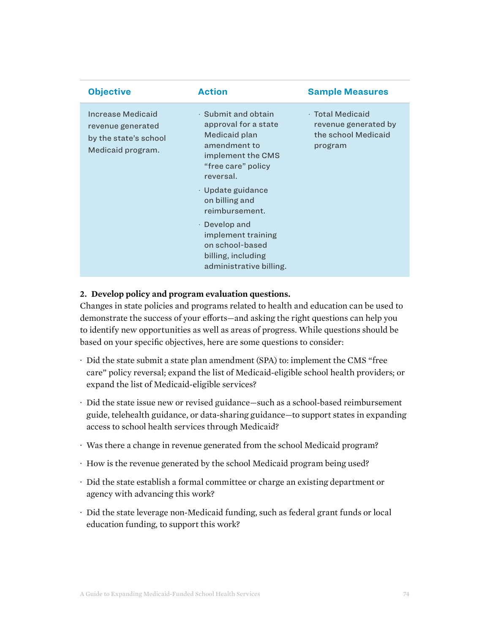| <b>Objective</b>                                                                     | <b>Action</b>                                                                                                                                                                                                                                                                                                              | <b>Sample Measures</b>                                                     |
|--------------------------------------------------------------------------------------|----------------------------------------------------------------------------------------------------------------------------------------------------------------------------------------------------------------------------------------------------------------------------------------------------------------------------|----------------------------------------------------------------------------|
| Increase Medicaid<br>revenue generated<br>by the state's school<br>Medicaid program. | $\cdot$ Submit and obtain<br>approval for a state<br>Medicaid plan<br>amendment to<br>implement the CMS<br>"free care" policy<br>reversal.<br>$\cdot$ Update guidance<br>on billing and<br>reimbursement.<br>$\cdot$ Develop and<br>implement training<br>on school-based<br>billing, including<br>administrative billing. | · Total Medicaid<br>revenue generated by<br>the school Medicaid<br>program |
|                                                                                      |                                                                                                                                                                                                                                                                                                                            |                                                                            |

#### **2. Develop policy and program evaluation questions.**

Changes in state policies and programs related to health and education can be used to demonstrate the success of your efforts—and asking the right questions can help you to identify new opportunities as well as areas of progress. While questions should be based on your specific objectives, here are some questions to consider:

- · Did the state submit a state plan amendment (SPA) to: implement the CMS "free care" policy reversal; expand the list of Medicaid-eligible school health providers; or expand the list of Medicaid-eligible services?
- · Did the state issue new or revised guidance—such as a school-based reimbursement guide, telehealth guidance, or data-sharing guidance—to support states in expanding access to school health services through Medicaid?
- · Was there a change in revenue generated from the school Medicaid program?
- · How is the revenue generated by the school Medicaid program being used?
- · Did the state establish a formal committee or charge an existing department or agency with advancing this work?
- · Did the state leverage non-Medicaid funding, such as federal grant funds or local education funding, to support this work?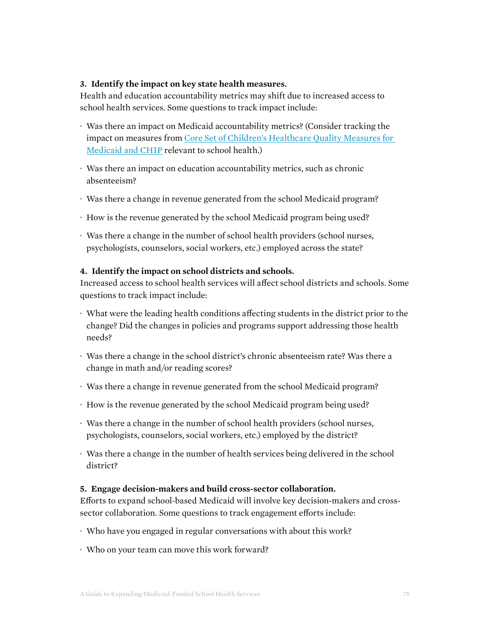#### **3. Identify the impact on key state health measures.**

Health and education accountability metrics may shift due to increased access to school health services. Some questions to track impact include:

- · Was there an impact on Medicaid accountability metrics? (Consider tracking the impact on measures from [Core Set of Children's Healthcare Quality Measures for](https://www.medicaid.gov/medicaid/quality-of-care/downloads/performance-measurement/2019-child-core-set.pdf)  [Medicaid and CHIP](https://www.medicaid.gov/medicaid/quality-of-care/downloads/performance-measurement/2019-child-core-set.pdf) relevant to school health.)
- · Was there an impact on education accountability metrics, such as chronic absenteeism?
- · Was there a change in revenue generated from the school Medicaid program?
- · How is the revenue generated by the school Medicaid program being used?
- · Was there a change in the number of school health providers (school nurses, psychologists, counselors, social workers, etc.) employed across the state?

#### **4. Identify the impact on school districts and schools.**

Increased access to school health services will affect school districts and schools. Some questions to track impact include:

- · What were the leading health conditions affecting students in the district prior to the change? Did the changes in policies and programs support addressing those health needs?
- · Was there a change in the school district's chronic absenteeism rate? Was there a change in math and/or reading scores?
- · Was there a change in revenue generated from the school Medicaid program?
- · How is the revenue generated by the school Medicaid program being used?
- · Was there a change in the number of school health providers (school nurses, psychologists, counselors, social workers, etc.) employed by the district?
- · Was there a change in the number of health services being delivered in the school district?

#### **5. Engage decision-makers and build cross-sector collaboration.**

Efforts to expand school-based Medicaid will involve key decision-makers and crosssector collaboration. Some questions to track engagement efforts include:

- · Who have you engaged in regular conversations with about this work?
- · Who on your team can move this work forward?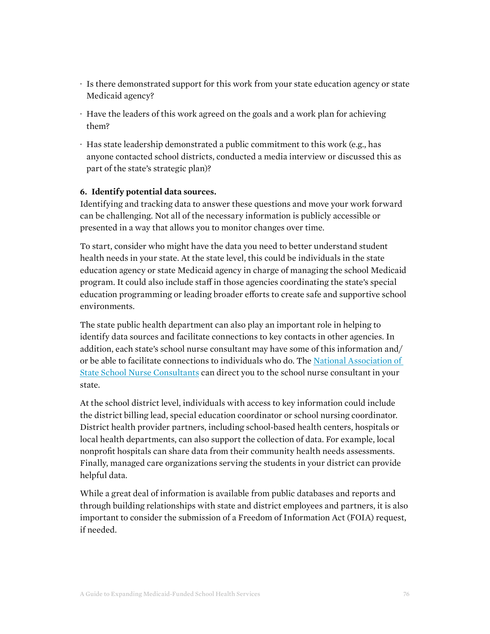- · Is there demonstrated support for this work from your state education agency or state Medicaid agency?
- · Have the leaders of this work agreed on the goals and a work plan for achieving them?
- · Has state leadership demonstrated a public commitment to this work (e.g., has anyone contacted school districts, conducted a media interview or discussed this as part of the state's strategic plan)?

#### **6. Identify potential data sources.**

Identifying and tracking data to answer these questions and move your work forward can be challenging. Not all of the necessary information is publicly accessible or presented in a way that allows you to monitor changes over time.

To start, consider who might have the data you need to better understand student health needs in your state. At the state level, this could be individuals in the state education agency or state Medicaid agency in charge of managing the school Medicaid program. It could also include staff in those agencies coordinating the state's special education programming or leading broader efforts to create safe and supportive school environments.

The state public health department can also play an important role in helping to identify data sources and facilitate connections to key contacts in other agencies. In addition, each state's school nurse consultant may have some of this information and/ or be able to facilitate connections to individuals who do. The [National Association of](http://www.schoolnurseconsultants.org/)  [State School Nurse Consultants](http://www.schoolnurseconsultants.org/) can direct you to the school nurse consultant in your state.

At the school district level, individuals with access to key information could include the district billing lead, special education coordinator or school nursing coordinator. District health provider partners, including school-based health centers, hospitals or local health departments, can also support the collection of data. For example, local nonprofit hospitals can share data from their community health needs assessments. Finally, managed care organizations serving the students in your district can provide helpful data.

While a great deal of information is available from public databases and reports and through building relationships with state and district employees and partners, it is also important to consider the submission of a Freedom of Information Act (FOIA) request, if needed.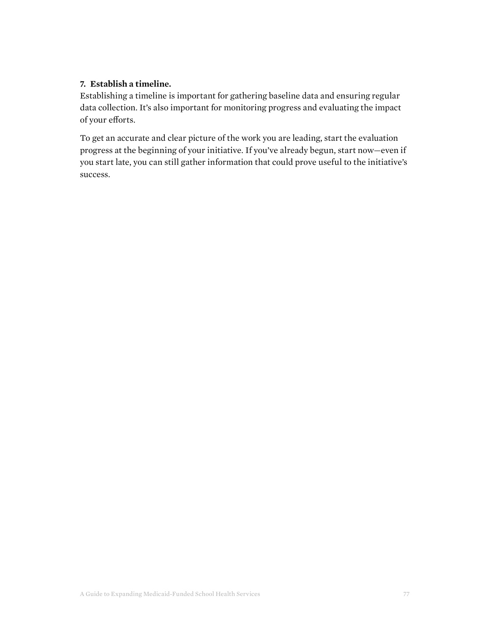#### **7. Establish a timeline.**

Establishing a timeline is important for gathering baseline data and ensuring regular data collection. It's also important for monitoring progress and evaluating the impact of your efforts.

To get an accurate and clear picture of the work you are leading, start the evaluation progress at the beginning of your initiative. If you've already begun, start now—even if you start late, you can still gather information that could prove useful to the initiative's success.